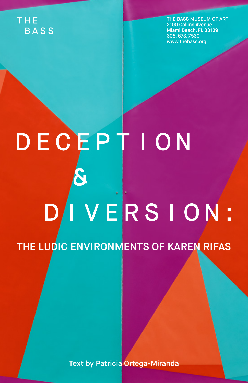## THE. **BASS**

THE BASS MUSEUM OF ART 2100 Collins Avenue Miami Beach, FL 33139 305. 673. 7530 www.thebass.org

## DECEPTION VERSION:  $\mathsf D$

THE LUDIC ENVIRONMENTS OF KAREN RIFAS

Text by Patricia Ortega-Miranda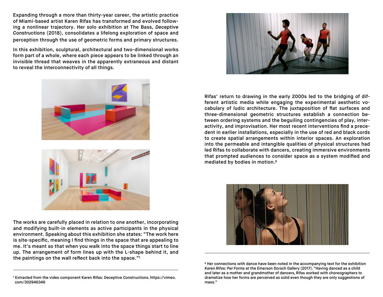Expanding through a more than thirty-year career, the artistic practice of Miami-based artist Karen Rifas has transformed and evolved following a nonlinear trajectory. Her solo exhibition at The Bass, *Deceptive Constructions* (2018), consolidates a lifelong exploration of space and perception through the use of geometric forms and primary structures.

In this exhibition, sculptural, architectural and two-dimensional works form part of a whole, where each piece appears to be linked through an invisible thread that weaves in the apparently extraneous and distant to reveal the interconnectivity of all things.

The works are carefully placed in relation to one another, incorporating and modifying built-in elements as active participants in the physical environment. Speaking about this exhibition she states: "The work here is site-specific, meaning I find things in the space that are appealing to me. It's meant so that when you walk into the space things start to line up. The arrangement of form lines up with the L-shape behind it, and the paintings on the wall reflect back into the space."1

Rifas' return to drawing in the early 2000s led to the bridging of different artistic media while engaging the experimental aesthetic vocabulary of ludic architecture. The juxtaposition of flat surfaces and three-dimensional geometric structures establish a connection between ordering systems and the beguiling contingencies of play, interactivity, and improvisation. Her most recent interventions find a precedent in earlier installations, especially in the use of red and black cords to create spatial arrangements within interior spaces. An exploration into the permeable and intangible qualities of physical structures had led Rifas to collaborate with dancers, creating immersive environments that prompted audiences to consider space as a system modified and mediated by bodies in motion.2

2 Her connections with dance have been noted in the accompanying text for the exhibition *Karen Rifas: Per Forms* at the Emerson Dorsch Gallery (2017). "Having danced as a child and later as a mother and grandmother of dancers, Rifas worked with choreographers to dramatize how her forms are perceived as solid even though they are only suggestions of mass."









<sup>1</sup> Extracted from the video component Karen Rifas: Deceptive Constructions. https://vimeo. com/302946346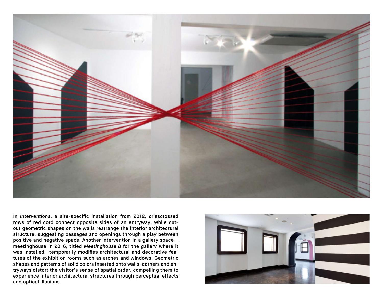

In *Interventions*, a site-specific installation from 2012, crisscrossed rows of red cord connect opposite sides of an entryway, while cutout geometric shapes on the walls rearrange the interior architectural structure, suggesting passages and openings through a play between positive and negative space. Another intervention in a gallery space meetinghouse in 2016, titled *Meetinghouse 8* for the gallery where it was installed—temporarily modifies architectural and decorative features of the exhibition rooms such as arches and windows. Geometric shapes and patterns of solid colors inserted onto walls, corners and entryways distort the visitor's sense of spatial order, compelling them to experience interior architectural structures through perceptual effects and optical illusions.

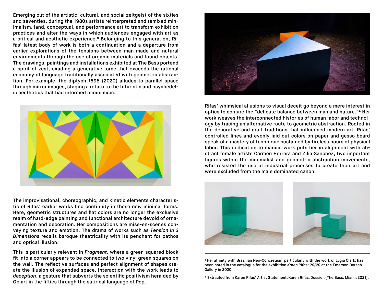Emerging out of the artistic, cultural, and social zeitgeist of the sixties and seventies, during the 1980s artists reinterpreted and remixed minimalism, land, conceptual, and performance art to transform exhibition practices and alter the ways in which audiences engaged with art as a critical and aesthetic experience.3 Belonging to this generation, Rifas' latest body of work is both a continuation and a departure from earlier explorations of the tensions between man-made and natural environments through the use of organic materials and found objects. The drawings, paintings and installations exhibited at The Bass portend a spirit of zest, exuding a generative force that exceeds the rational economy of language traditionally associated with geometric abstraction. For example, the diptych *1696* (2020) alludes to parallel space through mirror images, staging a return to the futuristic and psychedelic aesthetics that had informed minimalism.



The improvisational, choreographic, and kinetic elements characteristic of Rifas' earlier works find continuity in these new minimal forms. Here, geometric structures and flat colors are no longer the exclusive realm of hard-edge painting and functional architecture devoid of ornamentation and decoration. Her compositions are mise-en-scènes conveying texture and emotion. The drama of works such as *Tension in 3 Dimensions* recalls baroque theatricality with its penchant for pathos and optical illusion.

This is particularly relevant in *Fragment*, where a green squared block fit into a corner appears to be connected to two vinyl green squares on the wall. The reflective surfaces and perfect alignment of shapes create the illusion of expanded space. Interaction with the work leads to *deception*, a gesture that subverts the scientific positivism heralded by Op art in the fifties through the satirical language of Pop.



Rifas' whimsical allusions to visual deceit go beyond a mere interest in optics to conjure the "delicate balance between man and nature."4 Her work weaves the interconnected histories of human labor and technology by tracing an alternative route to geometric abstraction. Rooted in the decorative and craft traditions that influenced modern art, Rifas' controlled lines and evenly laid out colors on paper and gesso board speak of a mastery of technique sustained by tireless hours of physical labor. This dedication to manual work puts her in alignment with abstract female artists Carmen Herrera and Zilia Sanchez, two important figures within the minimalist and geometric abstraction movements, who resisted the use of industrial processes to create their art and were excluded from the male dominated canon.



<sup>3</sup> Her affinity with Brazilian Neo-Concretism, particularly with the work of Lygia Clark, has been noted in the catalogue for the exhibition *Karen Rifas: 20/20* at the Emerson Dorsch Gallery in 2020.

<sup>4</sup> Extracted from Karen Rifas' Artist Statement. Karen Rifas, Dossier. (The Bass, Miami, 2021).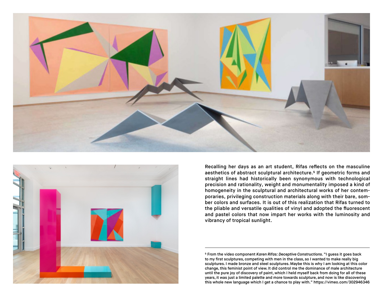



Recalling her days as an art student, Rifas reflects on the masculine aesthetics of abstract sculptural architecture.5 If geometric forms and straight lines had historically been synonymous with technological precision and rationality, weight and monumentality imposed a kind of homogeneity in the sculptural and architectural works of her contemporaries, privileging construction materials along with their bare, somber colors and surfaces. It is out of this realization that Rifas turned to the pliable and versatile qualities of vinyl and adopted the fluorescent and pastel colors that now impart her works with the luminosity and vibrancy of tropical sunlight.

5 From the video component *Karen Rifas: Deceptive Constructions*. "I guess it goes back to my first sculptures, competing with men in the class, so I wanted to make really big sculptures. I made bronze and steel sculptures. Maybe this is why I am looking at this color change, this feminist point of view. It did control me the dominance of male architecture until the pure joy of discovery of paint, which I held myself back from doing for all of these years, it was just a limited palette and more towards sculpture, and now is like discovering this whole new language which I get a chance to play with." https://vimeo.com/302946346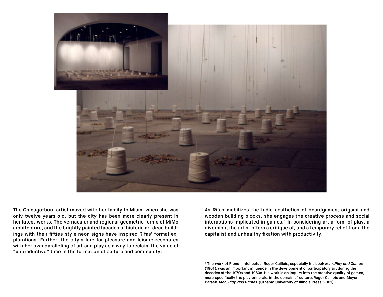

The Chicago-born artist moved with her family to Miami when she was only twelve years old, but the city has been more clearly present in her latest works. The vernacular and regional geometric forms of MiMo architecture, and the brightly painted facades of historic art deco buildings with their fifties-style neon signs have inspired Rifas' formal explorations. Further, the city's lure for pleasure and leisure resonates with her own paralleling of art and play as a way to reclaim the value of "unproductive" time in the formation of culture and community.

As Rifas mobilizes the ludic aesthetics of boardgames, origami and wooden building blocks, she engages the creative process and social interactions implicated in games.<sup>6</sup> In considering art a form of play, a diversion, the artist offers a critique of, and a temporary relief from, the capitalist and unhealthy fixation with productivity.

<sup>6</sup> The work of French intellectual Roger Caillois, especially his book *Man, Play and Games* (1961), was an important influence in the development of participatory art during the decades of the 1970s and 1980s. His work is an inquiry into the creative quality of games, more specifically the play principle, in the domain of culture. Roger Caillois and Meyer Barash. *Man, Play, and Games*. (Urbana: University of Illinois Press, 2001).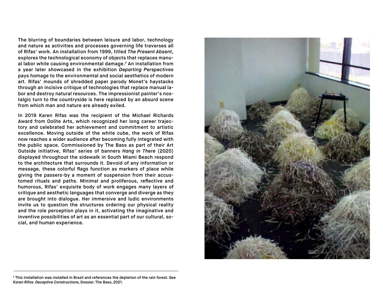The blurring of boundaries between leisure and labor, technology and nature as activities and processes governing life traverses all of Rifas' work. An installation from 1999, titled *The Present Absent*, explores the technological economy of objects that replaces manual labor while causing environmental damage.7 An installation from a year later showcased in the exhibition *Departing Perspectives* pays homage to the environmental and social aesthetics of modern art. Rifas' mounds of shredded paper parody Monet's haystacks through an incisive critique of technologies that replace manual labor and destroy natural resources. The impressionist painter's nostalgic turn to the countryside is here replaced by an absurd scene from which man and nature are already exiled.

In 2019 Karen Rifas was the recipient of the Michael Richards Award from Oolite Arts, which recognized her long career trajectory and celebrated her achievement and commitment to artistic excellence. Moving outside of the white cube, the work of Rifas now reaches a wider audience after becoming fully integrated with the public space. Commissioned by The Bass as part of their Art Outside initiative, Rifas' series of banners *Hang in There* (2020) displayed throughout the sidewalk in South Miami Beach respond to the architecture that surrounds it. Devoid of any information or message, these colorful flags function as markers of place while giving the passers-by a moment of suspension from their accustomed rituals and paths. Minimal and proliferous, reflective and humorous, Rifas' exquisite body of work engages many layers of critique and aesthetic languages that converge and diverge as they are brought into dialogue. Her immersive and ludic environments invite us to question the structures ordering our physical reality and the role perception plays in it, activating the imaginative and inventive possibilities of art as an essential part of our cultural, social, and human experience.



<sup>7</sup> This installation was installed in Brazil and references the depletion of the rain forest. See *Karen Rifas: Deceptive Constructions*, Dossier. The Bass, 2021.